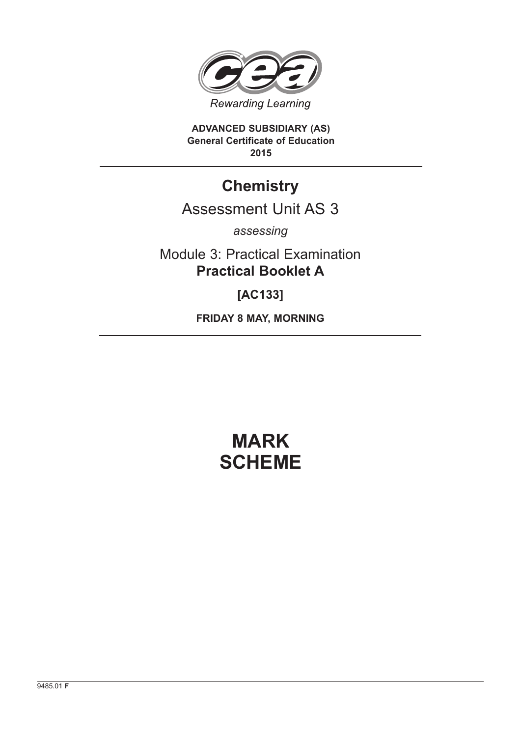

**ADVANCED SUBSIDIARY (AS) General Certificate of Education 2015**

# **Chemistry**

# Assessment Unit AS 3

*assessing*

Module 3: Practical Examination **Practical Booklet A**

**[AC133]**

**FRIDAY 8 MAY, MORNING**

# **MARK SCHEME**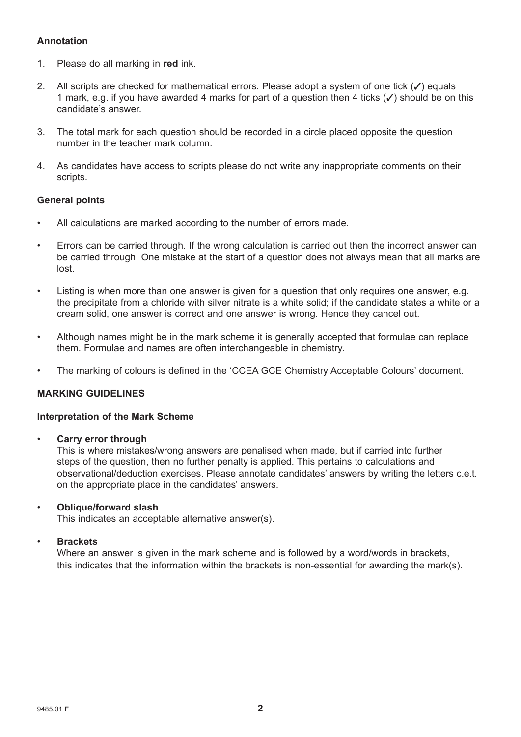# **Annotation**

- 1. Please do all marking in **red** ink.
- 2. All scripts are checked for mathematical errors. Please adopt a system of one tick  $(\checkmark)$  equals 1 mark, e.g. if you have awarded 4 marks for part of a question then 4 ticks  $(\checkmark)$  should be on this candidate's answer.
- 3. The total mark for each question should be recorded in a circle placed opposite the question number in the teacher mark column.
- 4. As candidates have access to scripts please do not write any inappropriate comments on their scripts.

### **General points**

- All calculations are marked according to the number of errors made.
- Errors can be carried through. If the wrong calculation is carried out then the incorrect answer can be carried through. One mistake at the start of a question does not always mean that all marks are lost.
- Listing is when more than one answer is given for a question that only requires one answer, e.g. the precipitate from a chloride with silver nitrate is a white solid; if the candidate states a white or a cream solid, one answer is correct and one answer is wrong. Hence they cancel out.
- Although names might be in the mark scheme it is generally accepted that formulae can replace them. Formulae and names are often interchangeable in chemistry.
- The marking of colours is defined in the 'CCEA GCE Chemistry Acceptable Colours' document.

# **MARKING GUIDELINES**

#### **Interpretation of the Mark Scheme**

• **Carry error through**

 This is where mistakes/wrong answers are penalised when made, but if carried into further steps of the question, then no further penalty is applied. This pertains to calculations and observational/deduction exercises. Please annotate candidates' answers by writing the letters c.e.t. on the appropriate place in the candidates' answers.

### • **Oblique/forward slash**

This indicates an acceptable alternative answer(s).

#### • **Brackets**

 Where an answer is given in the mark scheme and is followed by a word/words in brackets, this indicates that the information within the brackets is non-essential for awarding the mark(s).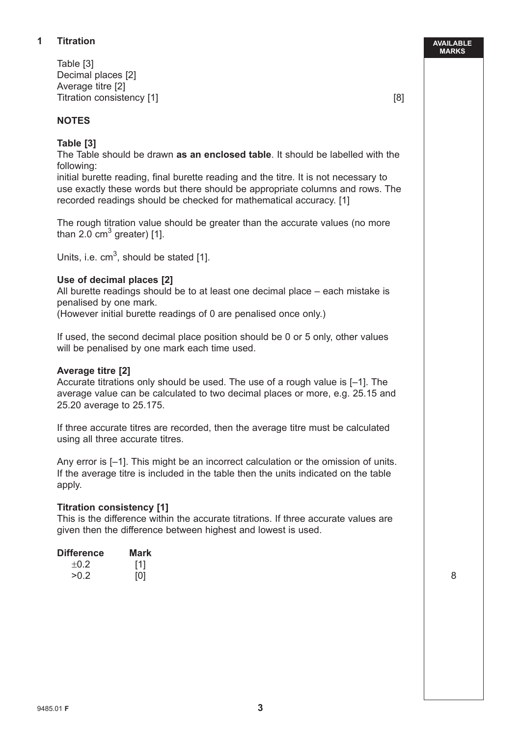# **1 Titration**

Table [3] Decimal places [2] Average titre [2] Titration consistency [1] [8]

### **NOTES**

# **Table [3]**

 The Table should be drawn **as an enclosed table**. It should be labelled with the following:

 initial burette reading, final burette reading and the titre. It is not necessary to use exactly these words but there should be appropriate columns and rows. The recorded readings should be checked for mathematical accuracy. [1]

 The rough titration value should be greater than the accurate values (no more than 2.0  $\text{cm}^3$  greater) [1].

Units, i.e.  $cm<sup>3</sup>$ , should be stated [1].

### **Use of decimal places [2]**

 All burette readings should be to at least one decimal place – each mistake is penalised by one mark.

(However initial burette readings of 0 are penalised once only.)

 If used, the second decimal place position should be 0 or 5 only, other values will be penalised by one mark each time used.

#### **Average titre [2]**

 Accurate titrations only should be used. The use of a rough value is [–1]. The average value can be calculated to two decimal places or more, e.g. 25.15 and 25.20 average to 25.175.

 If three accurate titres are recorded, then the average titre must be calculated using all three accurate titres.

 Any error is [–1]. This might be an incorrect calculation or the omission of units. If the average titre is included in the table then the units indicated on the table apply.

#### **Titration consistency [1]**

 This is the difference within the accurate titrations. If three accurate values are given then the difference between highest and lowest is used.

| <b>Difference</b> | <b>Mark</b>    |
|-------------------|----------------|
| ±0.2              |                |
| >0.2              | $\overline{0}$ |

**AVAILABLE MARKS**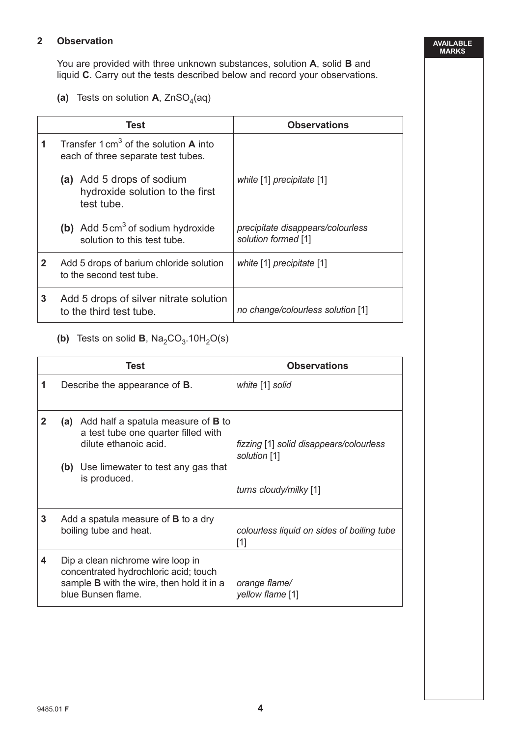# **2 Observation**

 You are provided with three unknown substances, solution **A**, solid **B** and liquid **C**. Carry out the tests described below and record your observations.

(a) Tests on solution  $A$ , ZnSO<sub>4</sub>(aq)

|              | Test                                                                                          | <b>Observations</b>                                      |
|--------------|-----------------------------------------------------------------------------------------------|----------------------------------------------------------|
| 1            | Transfer $1 \text{ cm}^3$ of the solution <b>A</b> into<br>each of three separate test tubes. |                                                          |
|              | (a) Add 5 drops of sodium<br>hydroxide solution to the first<br>test tube.                    | white [1] precipitate [1]                                |
|              | (b) Add $5 \text{ cm}^3$ of sodium hydroxide<br>solution to this test tube.                   | precipitate disappears/colourless<br>solution formed [1] |
| $\mathbf{2}$ | Add 5 drops of barium chloride solution<br>to the second test tube.                           | white [1] precipitate [1]                                |
| 3            | Add 5 drops of silver nitrate solution<br>to the third test tube.                             | no change/colourless solution [1]                        |

# **(b)** Tests on solid **B**,  $\text{Na}_2\text{CO}_3.10\text{H}_2\text{O(s)}$

|              | Test                                                                                                                                                                    | <b>Observations</b>                                                               |
|--------------|-------------------------------------------------------------------------------------------------------------------------------------------------------------------------|-----------------------------------------------------------------------------------|
| 1            | Describe the appearance of <b>B</b> .                                                                                                                                   | white [1] solid                                                                   |
| $\mathbf{2}$ | (a) Add half a spatula measure of <b>B</b> to<br>a test tube one quarter filled with<br>dilute ethanoic acid.<br>(b) Use limewater to test any gas that<br>is produced. | fizzing [1] solid disappears/colourless<br>solution [1]<br>turns cloudy/milky [1] |
| 3            | Add a spatula measure of <b>B</b> to a dry<br>boiling tube and heat.                                                                                                    | colourless liquid on sides of boiling tube<br>[1]                                 |
| 4            | Dip a clean nichrome wire loop in<br>concentrated hydrochloric acid; touch<br>sample <b>B</b> with the wire, then hold it in a<br>blue Bunsen flame.                    | orange flame/<br>yellow flame [1]                                                 |